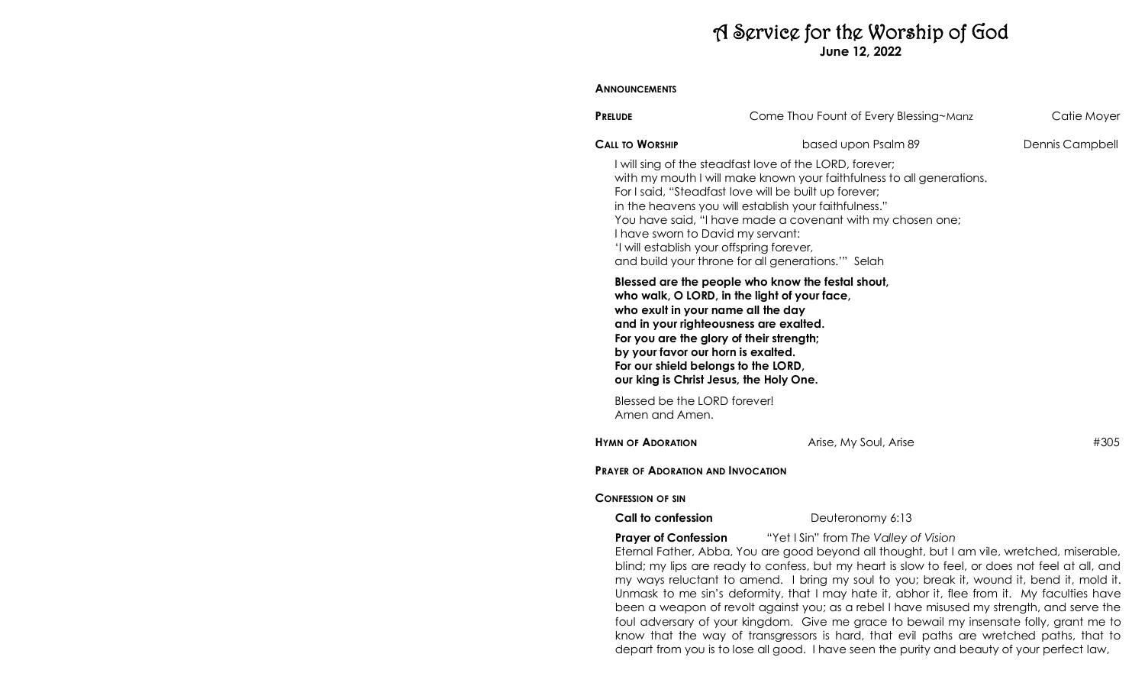# A Service for the Worship of God **June 12, 2022**

#### **ANNOUNCEMENTS**

|                                                                                | Come Thou Fount of Every Blessing~Manz                                                                                                                                                                                                                                                                                                                                 | Catie Moyer     |
|--------------------------------------------------------------------------------|------------------------------------------------------------------------------------------------------------------------------------------------------------------------------------------------------------------------------------------------------------------------------------------------------------------------------------------------------------------------|-----------------|
| <b>CALL TO WORSHIP</b>                                                         | based upon Psalm 89                                                                                                                                                                                                                                                                                                                                                    | Dennis Campbell |
| I have sworn to David my servant:<br>'I will establish your offspring forever, | I will sing of the steadfast love of the LORD, forever;<br>with my mouth I will make known your faithfulness to all generations.<br>For I said, "Steadfast love will be built up forever;<br>in the heavens you will establish your faithfulness."<br>You have said, "I have made a covenant with my chosen one;<br>and build your throne for all generations."" Selah |                 |
| For you are the glory of their strength;<br>by your favor our horn is exalted. |                                                                                                                                                                                                                                                                                                                                                                        |                 |
| For our shield belongs to the LORD,<br>our king is Christ Jesus, the Holy One. |                                                                                                                                                                                                                                                                                                                                                                        |                 |
| Blessed be the LORD forever!<br>Amen and Amen.                                 |                                                                                                                                                                                                                                                                                                                                                                        |                 |
|                                                                                | Arise, My Soul, Arise                                                                                                                                                                                                                                                                                                                                                  | #305            |
| <b>HYMN OF ADORATION</b><br><b>PRAYER OF ADORATION AND INVOCATION</b>          |                                                                                                                                                                                                                                                                                                                                                                        |                 |
|                                                                                |                                                                                                                                                                                                                                                                                                                                                                        |                 |
| <b>CONFESSION OF SIN</b><br>Call to confession                                 | Deuteronomy 6:13                                                                                                                                                                                                                                                                                                                                                       |                 |

Unmask to me sin's deformity, that I may hate it, abhor it, flee from it. My faculties have been a weapon of revolt against you; as a rebel I have misused my strength, and serve the foul adversary of your kingdom. Give me grace to bewail my insensate folly, grant me to know that the way of transgressors is hard, that evil paths are wretched paths, that to depart from you is to lose all good. I have seen the purity and beauty of your perfect law,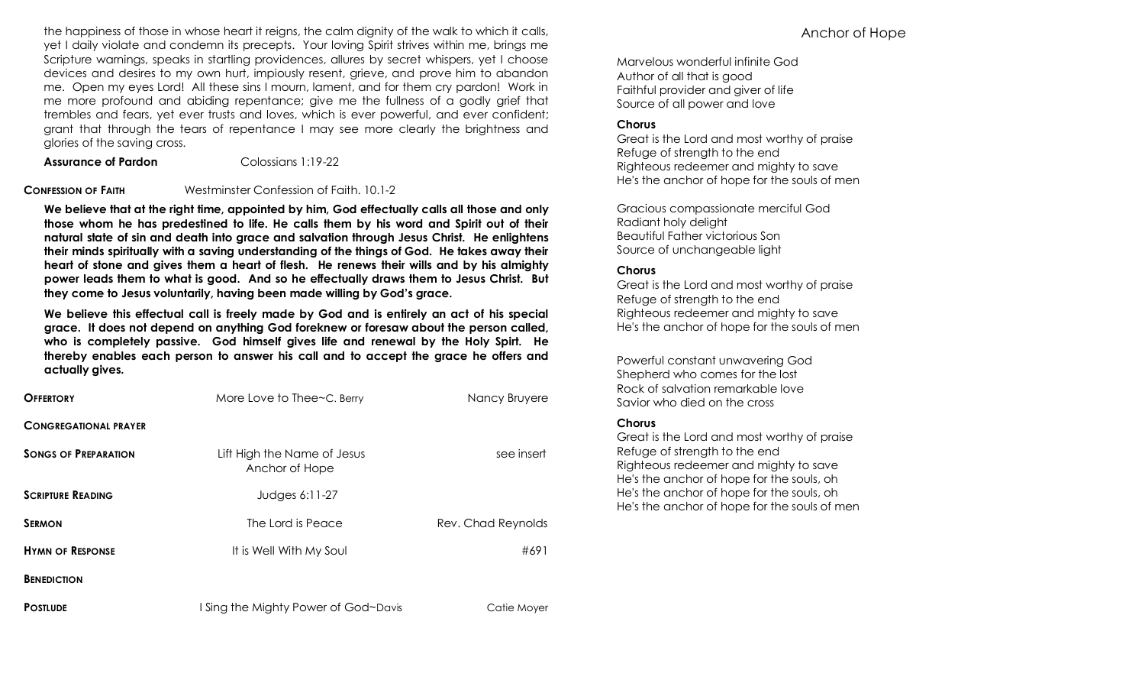the happiness of those in whose heart it reigns, the calm dignity of the walk to which it calls, yet I daily violate and condemn its precepts. Your loving Spirit strives within me, brings me Scripture warnings, speaks in startling providences, allures by secret whispers, yet I choose devices and desires to my own hurt, impiously resent, grieve, and prove him to abandon me. Open my eyes Lord! All these sins I mourn, lament, and for them cry pardon! Work in me more profound and abiding repentance; give me the fullness of a godly grief that trembles and fears, yet ever trusts and loves, which is ever powerful, and ever confident; grant that through the tears of repentance I may see more clearly the brightness and glories of the saving cross.

**Assurance of Pardon** Colossians 1:19-22

#### **CONFESSION OF FAITH** Westminster Confession of Faith. 10.1-2

**We believe that at the right time, appointed by him, God effectually calls all those and only those whom he has predestined to life. He calls them by his word and Spirit out of their natural state of sin and death into grace and salvation through Jesus Christ. He enlightens their minds spiritually with a saving understanding of the things of God. He takes away their heart of stone and gives them a heart of flesh. He renews their wills and by his almighty power leads them to what is good. And so he effectually draws them to Jesus Christ. But they come to Jesus voluntarily, having been made willing by God's grace.**

**We believe this effectual call is freely made by God and is entirely an act of his special grace. It does not depend on anything God foreknew or foresaw about the person called, who is completely passive. God himself gives life and renewal by the Holy Spirt. He thereby enables each person to answer his call and to accept the grace he offers and actually gives.** 

| <b>OFFERTORY</b>             | More Love to Thee $\sim$ C. Berry             | Nancy Bruyere      |
|------------------------------|-----------------------------------------------|--------------------|
| <b>CONGREGATIONAL PRAYER</b> |                                               |                    |
| <b>SONGS OF PREPARATION</b>  | Lift High the Name of Jesus<br>Anchor of Hope | see insert         |
| <b>SCRIPTURE READING</b>     | Judges 6:11-27                                |                    |
| <b>SERMON</b>                | The Lord is Peace                             | Rev. Chad Reynolds |
| <b>HYMN OF RESPONSE</b>      | It is Well With My Soul                       | #691               |
| <b>BENEDICTION</b>           |                                               |                    |
| <b>POSTLUDE</b>              | Sing the Mighty Power of God~Davis            | Catie Moyer        |

Marvelous wonderful infinite God Author of all that is good Faithful provider and giver of life Source of all power and love

#### **Chorus**

Great is the Lord and most worthy of praise Refuge of strength to the end Righteous redeemer and mighty to save He's the anchor of hope for the souls of men

Gracious compassionate merciful God Radiant holy delight Beautiful Father victorious Son Source of unchangeable light

#### **Chorus**

Great is the Lord and most worthy of praise Refuge of strength to the end Righteous redeemer and mighty to save He's the anchor of hope for the souls of men

Powerful constant unwavering God Shepherd who comes for the lost Rock of salvation remarkable love Savior who died on the cross

#### **Chorus**

Great is the Lord and most worthy of praise Refuge of strength to the end Righteous redeemer and mighty to save He's the anchor of hope for the souls, oh He's the anchor of hope for the souls, oh He's the anchor of hope for the souls of men